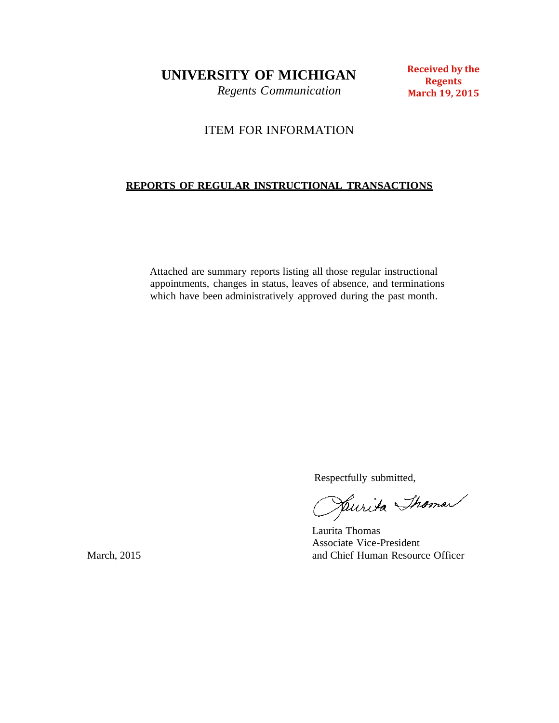**UNIVERSITY OF MICHIGAN**

*Regents Communication*

**Received by the Regents March 19, 2015**

# ITEM FOR INFORMATION

# **REPORTS OF REGULAR INSTRUCTIONAL TRANSACTIONS**

Attached are summary reports listing all those regular instructional appointments, changes in status, leaves of absence, and terminations which have been administratively approved during the past month.

Respectfully submitted,

Jaurita Thoman

Laurita Thomas Associate Vice-President March, 2015 **and Chief Human Resource Officer** and Chief Human Resource Officer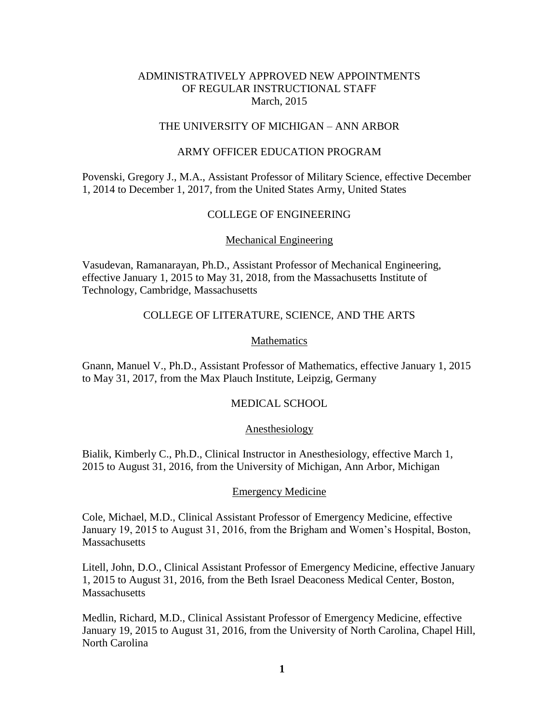# ADMINISTRATIVELY APPROVED NEW APPOINTMENTS OF REGULAR INSTRUCTIONAL STAFF March, 2015

# THE UNIVERSITY OF MICHIGAN – ANN ARBOR

## ARMY OFFICER EDUCATION PROGRAM

Povenski, Gregory J., M.A., Assistant Professor of Military Science, effective December 1, 2014 to December 1, 2017, from the United States Army, United States

#### COLLEGE OF ENGINEERING

#### Mechanical Engineering

Vasudevan, Ramanarayan, Ph.D., Assistant Professor of Mechanical Engineering, effective January 1, 2015 to May 31, 2018, from the Massachusetts Institute of Technology, Cambridge, Massachusetts

#### COLLEGE OF LITERATURE, SCIENCE, AND THE ARTS

## Mathematics

Gnann, Manuel V., Ph.D., Assistant Professor of Mathematics, effective January 1, 2015 to May 31, 2017, from the Max Plauch Institute, Leipzig, Germany

## MEDICAL SCHOOL

#### Anesthesiology

Bialik, Kimberly C., Ph.D., Clinical Instructor in Anesthesiology, effective March 1, 2015 to August 31, 2016, from the University of Michigan, Ann Arbor, Michigan

#### Emergency Medicine

Cole, Michael, M.D., Clinical Assistant Professor of Emergency Medicine, effective January 19, 2015 to August 31, 2016, from the Brigham and Women's Hospital, Boston, **Massachusetts** 

Litell, John, D.O., Clinical Assistant Professor of Emergency Medicine, effective January 1, 2015 to August 31, 2016, from the Beth Israel Deaconess Medical Center, Boston, **Massachusetts** 

Medlin, Richard, M.D., Clinical Assistant Professor of Emergency Medicine, effective January 19, 2015 to August 31, 2016, from the University of North Carolina, Chapel Hill, North Carolina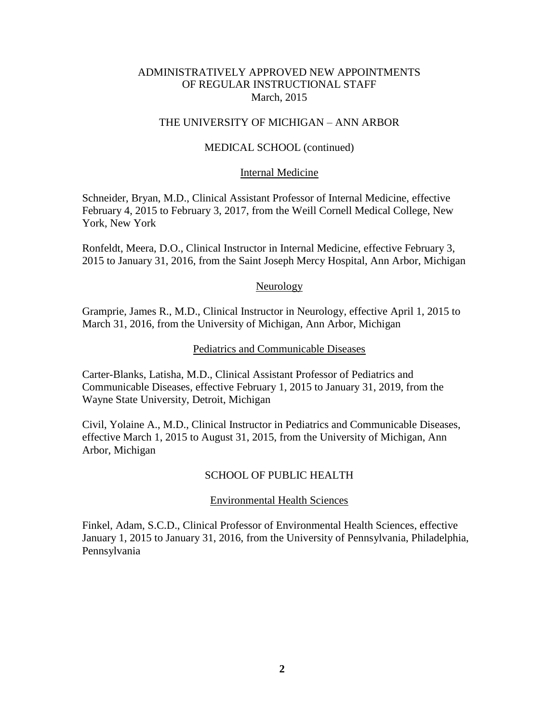## ADMINISTRATIVELY APPROVED NEW APPOINTMENTS OF REGULAR INSTRUCTIONAL STAFF March, 2015

## THE UNIVERSITY OF MICHIGAN – ANN ARBOR

## MEDICAL SCHOOL (continued)

#### Internal Medicine

Schneider, Bryan, M.D., Clinical Assistant Professor of Internal Medicine, effective February 4, 2015 to February 3, 2017, from the Weill Cornell Medical College, New York, New York

Ronfeldt, Meera, D.O., Clinical Instructor in Internal Medicine, effective February 3, 2015 to January 31, 2016, from the Saint Joseph Mercy Hospital, Ann Arbor, Michigan

#### Neurology

Gramprie, James R., M.D., Clinical Instructor in Neurology, effective April 1, 2015 to March 31, 2016, from the University of Michigan, Ann Arbor, Michigan

## Pediatrics and Communicable Diseases

Carter-Blanks, Latisha, M.D., Clinical Assistant Professor of Pediatrics and Communicable Diseases, effective February 1, 2015 to January 31, 2019, from the Wayne State University, Detroit, Michigan

Civil, Yolaine A., M.D., Clinical Instructor in Pediatrics and Communicable Diseases, effective March 1, 2015 to August 31, 2015, from the University of Michigan, Ann Arbor, Michigan

## SCHOOL OF PUBLIC HEALTH

#### Environmental Health Sciences

Finkel, Adam, S.C.D., Clinical Professor of Environmental Health Sciences, effective January 1, 2015 to January 31, 2016, from the University of Pennsylvania, Philadelphia, Pennsylvania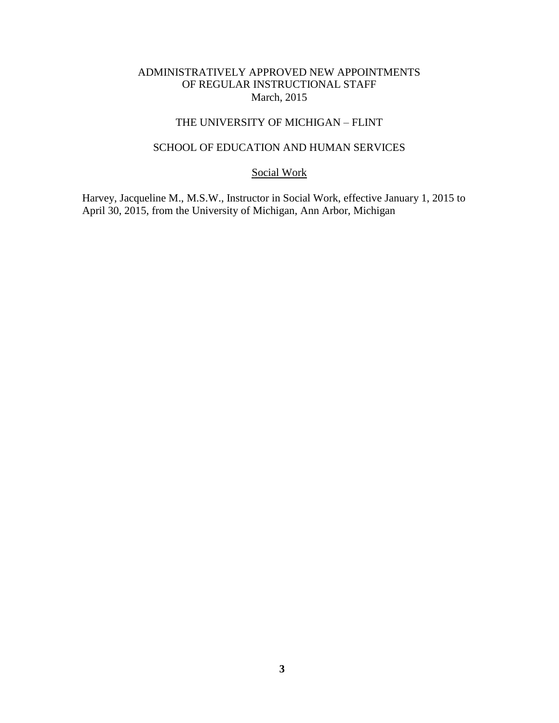# ADMINISTRATIVELY APPROVED NEW APPOINTMENTS OF REGULAR INSTRUCTIONAL STAFF March, 2015

# THE UNIVERSITY OF MICHIGAN – FLINT

# SCHOOL OF EDUCATION AND HUMAN SERVICES

Social Work

Harvey, Jacqueline M., M.S.W., Instructor in Social Work, effective January 1, 2015 to April 30, 2015, from the University of Michigan, Ann Arbor, Michigan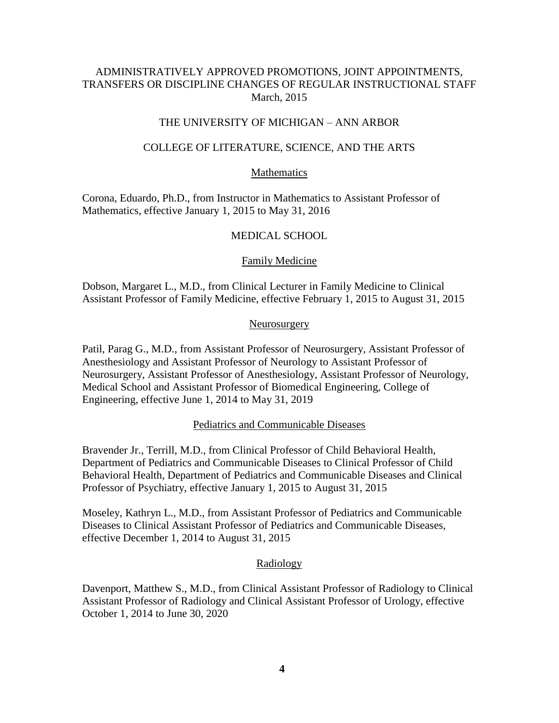# ADMINISTRATIVELY APPROVED PROMOTIONS, JOINT APPOINTMENTS, TRANSFERS OR DISCIPLINE CHANGES OF REGULAR INSTRUCTIONAL STAFF March, 2015

## THE UNIVERSITY OF MICHIGAN – ANN ARBOR

#### COLLEGE OF LITERATURE, SCIENCE, AND THE ARTS

## Mathematics

Corona, Eduardo, Ph.D., from Instructor in Mathematics to Assistant Professor of Mathematics, effective January 1, 2015 to May 31, 2016

## MEDICAL SCHOOL

## Family Medicine

Dobson, Margaret L., M.D., from Clinical Lecturer in Family Medicine to Clinical Assistant Professor of Family Medicine, effective February 1, 2015 to August 31, 2015

#### Neurosurgery

Patil, Parag G., M.D., from Assistant Professor of Neurosurgery, Assistant Professor of Anesthesiology and Assistant Professor of Neurology to Assistant Professor of Neurosurgery, Assistant Professor of Anesthesiology, Assistant Professor of Neurology, Medical School and Assistant Professor of Biomedical Engineering, College of Engineering, effective June 1, 2014 to May 31, 2019

#### Pediatrics and Communicable Diseases

Bravender Jr., Terrill, M.D., from Clinical Professor of Child Behavioral Health, Department of Pediatrics and Communicable Diseases to Clinical Professor of Child Behavioral Health, Department of Pediatrics and Communicable Diseases and Clinical Professor of Psychiatry, effective January 1, 2015 to August 31, 2015

Moseley, Kathryn L., M.D., from Assistant Professor of Pediatrics and Communicable Diseases to Clinical Assistant Professor of Pediatrics and Communicable Diseases, effective December 1, 2014 to August 31, 2015

#### Radiology

Davenport, Matthew S., M.D., from Clinical Assistant Professor of Radiology to Clinical Assistant Professor of Radiology and Clinical Assistant Professor of Urology, effective October 1, 2014 to June 30, 2020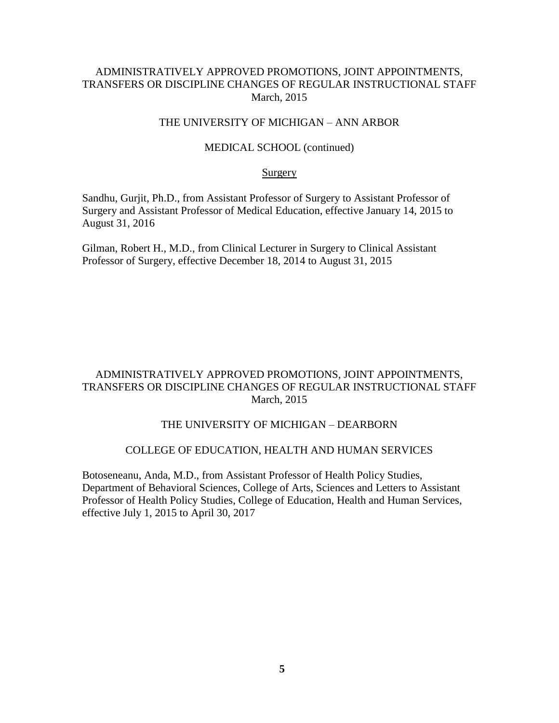# ADMINISTRATIVELY APPROVED PROMOTIONS, JOINT APPOINTMENTS, TRANSFERS OR DISCIPLINE CHANGES OF REGULAR INSTRUCTIONAL STAFF March, 2015

# THE UNIVERSITY OF MICHIGAN – ANN ARBOR

#### MEDICAL SCHOOL (continued)

#### **Surgery**

Sandhu, Gurjit, Ph.D., from Assistant Professor of Surgery to Assistant Professor of Surgery and Assistant Professor of Medical Education, effective January 14, 2015 to August 31, 2016

Gilman, Robert H., M.D., from Clinical Lecturer in Surgery to Clinical Assistant Professor of Surgery, effective December 18, 2014 to August 31, 2015

# ADMINISTRATIVELY APPROVED PROMOTIONS, JOINT APPOINTMENTS, TRANSFERS OR DISCIPLINE CHANGES OF REGULAR INSTRUCTIONAL STAFF March, 2015

## THE UNIVERSITY OF MICHIGAN – DEARBORN

#### COLLEGE OF EDUCATION, HEALTH AND HUMAN SERVICES

Botoseneanu, Anda, M.D., from Assistant Professor of Health Policy Studies, Department of Behavioral Sciences, College of Arts, Sciences and Letters to Assistant Professor of Health Policy Studies, College of Education, Health and Human Services, effective July 1, 2015 to April 30, 2017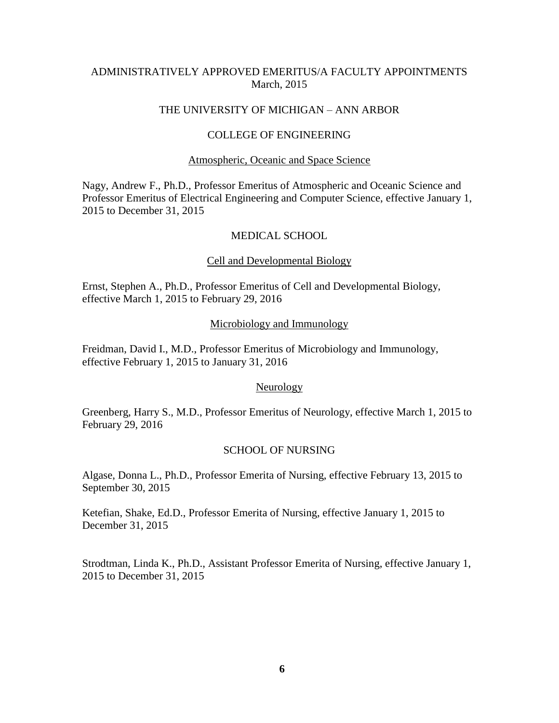# ADMINISTRATIVELY APPROVED EMERITUS/A FACULTY APPOINTMENTS March, 2015

## THE UNIVERSITY OF MICHIGAN – ANN ARBOR

## COLLEGE OF ENGINEERING

#### Atmospheric, Oceanic and Space Science

Nagy, Andrew F., Ph.D., Professor Emeritus of Atmospheric and Oceanic Science and Professor Emeritus of Electrical Engineering and Computer Science, effective January 1, 2015 to December 31, 2015

## MEDICAL SCHOOL

#### Cell and Developmental Biology

Ernst, Stephen A., Ph.D., Professor Emeritus of Cell and Developmental Biology, effective March 1, 2015 to February 29, 2016

#### Microbiology and Immunology

Freidman, David I., M.D., Professor Emeritus of Microbiology and Immunology, effective February 1, 2015 to January 31, 2016

## Neurology

Greenberg, Harry S., M.D., Professor Emeritus of Neurology, effective March 1, 2015 to February 29, 2016

#### SCHOOL OF NURSING

Algase, Donna L., Ph.D., Professor Emerita of Nursing, effective February 13, 2015 to September 30, 2015

Ketefian, Shake, Ed.D., Professor Emerita of Nursing, effective January 1, 2015 to December 31, 2015

Strodtman, Linda K., Ph.D., Assistant Professor Emerita of Nursing, effective January 1, 2015 to December 31, 2015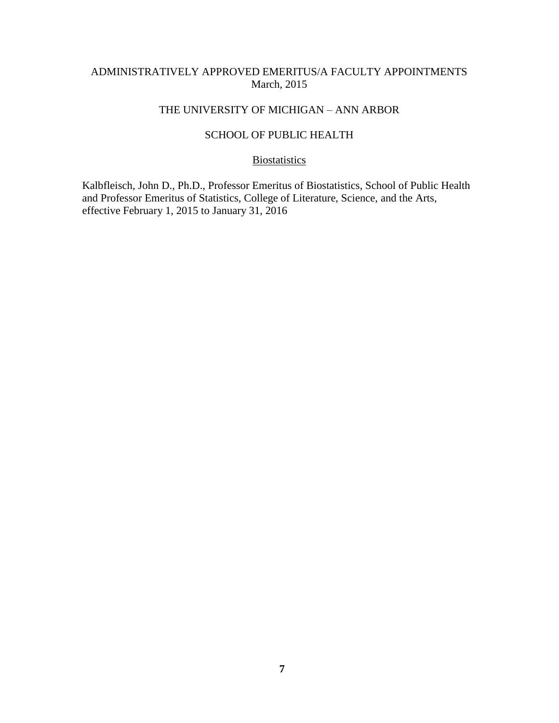# ADMINISTRATIVELY APPROVED EMERITUS/A FACULTY APPOINTMENTS March, 2015

# THE UNIVERSITY OF MICHIGAN – ANN ARBOR

# SCHOOL OF PUBLIC HEALTH

## **Biostatistics**

Kalbfleisch, John D., Ph.D., Professor Emeritus of Biostatistics, School of Public Health and Professor Emeritus of Statistics, College of Literature, Science, and the Arts, effective February 1, 2015 to January 31, 2016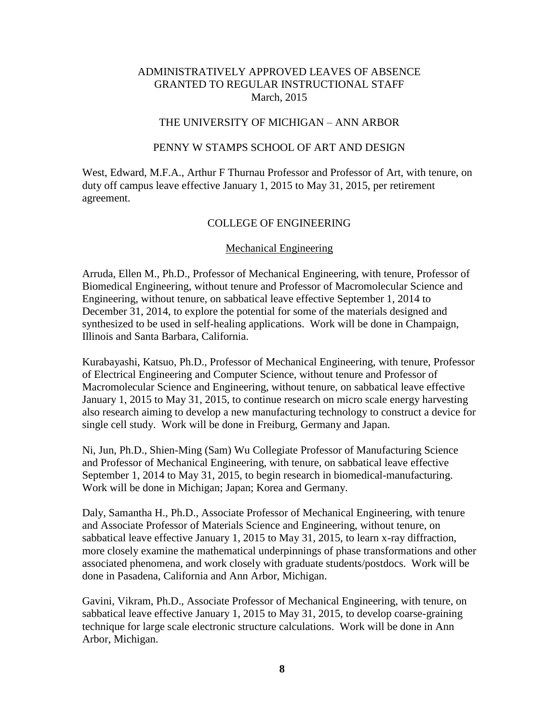## THE UNIVERSITY OF MICHIGAN – ANN ARBOR

#### PENNY W STAMPS SCHOOL OF ART AND DESIGN

West, Edward, M.F.A., Arthur F Thurnau Professor and Professor of Art, with tenure, on duty off campus leave effective January 1, 2015 to May 31, 2015, per retirement agreement.

#### COLLEGE OF ENGINEERING

#### Mechanical Engineering

Arruda, Ellen M., Ph.D., Professor of Mechanical Engineering, with tenure, Professor of Biomedical Engineering, without tenure and Professor of Macromolecular Science and Engineering, without tenure, on sabbatical leave effective September 1, 2014 to December 31, 2014, to explore the potential for some of the materials designed and synthesized to be used in self-healing applications. Work will be done in Champaign, Illinois and Santa Barbara, California.

Kurabayashi, Katsuo, Ph.D., Professor of Mechanical Engineering, with tenure, Professor of Electrical Engineering and Computer Science, without tenure and Professor of Macromolecular Science and Engineering, without tenure, on sabbatical leave effective January 1, 2015 to May 31, 2015, to continue research on micro scale energy harvesting also research aiming to develop a new manufacturing technology to construct a device for single cell study. Work will be done in Freiburg, Germany and Japan.

Ni, Jun, Ph.D., Shien-Ming (Sam) Wu Collegiate Professor of Manufacturing Science and Professor of Mechanical Engineering, with tenure, on sabbatical leave effective September 1, 2014 to May 31, 2015, to begin research in biomedical-manufacturing. Work will be done in Michigan; Japan; Korea and Germany.

Daly, Samantha H., Ph.D., Associate Professor of Mechanical Engineering, with tenure and Associate Professor of Materials Science and Engineering, without tenure, on sabbatical leave effective January 1, 2015 to May 31, 2015, to learn x-ray diffraction, more closely examine the mathematical underpinnings of phase transformations and other associated phenomena, and work closely with graduate students/postdocs. Work will be done in Pasadena, California and Ann Arbor, Michigan.

Gavini, Vikram, Ph.D., Associate Professor of Mechanical Engineering, with tenure, on sabbatical leave effective January 1, 2015 to May 31, 2015, to develop coarse-graining technique for large scale electronic structure calculations. Work will be done in Ann Arbor, Michigan.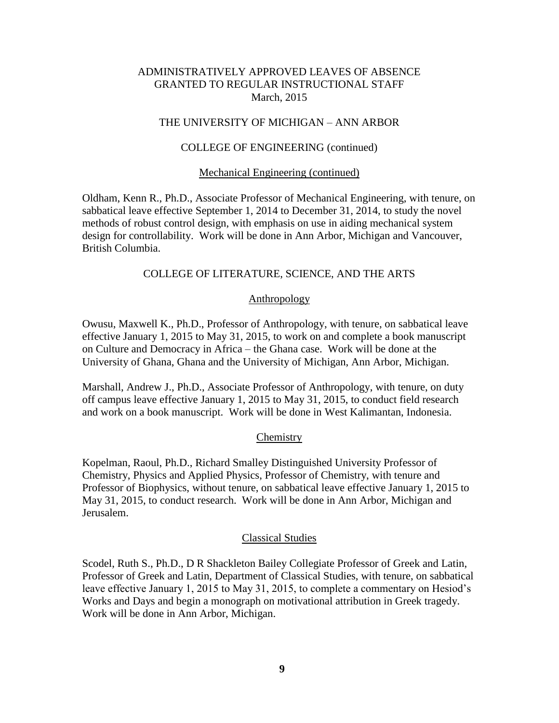## THE UNIVERSITY OF MICHIGAN – ANN ARBOR

## COLLEGE OF ENGINEERING (continued)

## Mechanical Engineering (continued)

Oldham, Kenn R., Ph.D., Associate Professor of Mechanical Engineering, with tenure, on sabbatical leave effective September 1, 2014 to December 31, 2014, to study the novel methods of robust control design, with emphasis on use in aiding mechanical system design for controllability. Work will be done in Ann Arbor, Michigan and Vancouver, British Columbia.

# COLLEGE OF LITERATURE, SCIENCE, AND THE ARTS

## **Anthropology**

Owusu, Maxwell K., Ph.D., Professor of Anthropology, with tenure, on sabbatical leave effective January 1, 2015 to May 31, 2015, to work on and complete a book manuscript on Culture and Democracy in Africa – the Ghana case. Work will be done at the University of Ghana, Ghana and the University of Michigan, Ann Arbor, Michigan.

Marshall, Andrew J., Ph.D., Associate Professor of Anthropology, with tenure, on duty off campus leave effective January 1, 2015 to May 31, 2015, to conduct field research and work on a book manuscript. Work will be done in West Kalimantan, Indonesia.

## **Chemistry**

Kopelman, Raoul, Ph.D., Richard Smalley Distinguished University Professor of Chemistry, Physics and Applied Physics, Professor of Chemistry, with tenure and Professor of Biophysics, without tenure, on sabbatical leave effective January 1, 2015 to May 31, 2015, to conduct research. Work will be done in Ann Arbor, Michigan and Jerusalem.

## Classical Studies

Scodel, Ruth S., Ph.D., D R Shackleton Bailey Collegiate Professor of Greek and Latin, Professor of Greek and Latin, Department of Classical Studies, with tenure, on sabbatical leave effective January 1, 2015 to May 31, 2015, to complete a commentary on Hesiod's Works and Days and begin a monograph on motivational attribution in Greek tragedy. Work will be done in Ann Arbor, Michigan.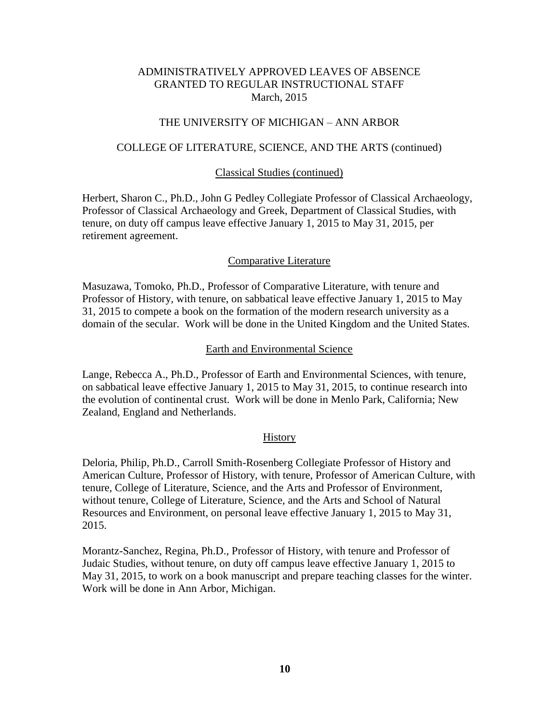## THE UNIVERSITY OF MICHIGAN – ANN ARBOR

#### COLLEGE OF LITERATURE, SCIENCE, AND THE ARTS (continued)

#### Classical Studies (continued)

Herbert, Sharon C., Ph.D., John G Pedley Collegiate Professor of Classical Archaeology, Professor of Classical Archaeology and Greek, Department of Classical Studies, with tenure, on duty off campus leave effective January 1, 2015 to May 31, 2015, per retirement agreement.

## Comparative Literature

Masuzawa, Tomoko, Ph.D., Professor of Comparative Literature, with tenure and Professor of History, with tenure, on sabbatical leave effective January 1, 2015 to May 31, 2015 to compete a book on the formation of the modern research university as a domain of the secular. Work will be done in the United Kingdom and the United States.

#### Earth and Environmental Science

Lange, Rebecca A., Ph.D., Professor of Earth and Environmental Sciences, with tenure, on sabbatical leave effective January 1, 2015 to May 31, 2015, to continue research into the evolution of continental crust. Work will be done in Menlo Park, California; New Zealand, England and Netherlands.

#### **History**

Deloria, Philip, Ph.D., Carroll Smith-Rosenberg Collegiate Professor of History and American Culture, Professor of History, with tenure, Professor of American Culture, with tenure, College of Literature, Science, and the Arts and Professor of Environment, without tenure, College of Literature, Science, and the Arts and School of Natural Resources and Environment, on personal leave effective January 1, 2015 to May 31, 2015.

Morantz-Sanchez, Regina, Ph.D., Professor of History, with tenure and Professor of Judaic Studies, without tenure, on duty off campus leave effective January 1, 2015 to May 31, 2015, to work on a book manuscript and prepare teaching classes for the winter. Work will be done in Ann Arbor, Michigan.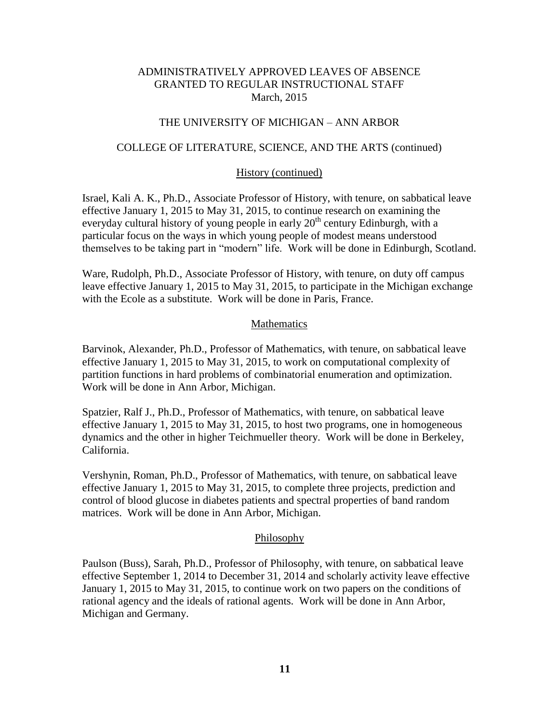## THE UNIVERSITY OF MICHIGAN – ANN ARBOR

## COLLEGE OF LITERATURE, SCIENCE, AND THE ARTS (continued)

## History (continued)

Israel, Kali A. K., Ph.D., Associate Professor of History, with tenure, on sabbatical leave effective January 1, 2015 to May 31, 2015, to continue research on examining the everyday cultural history of young people in early  $20<sup>th</sup>$  century Edinburgh, with a particular focus on the ways in which young people of modest means understood themselves to be taking part in "modern" life. Work will be done in Edinburgh, Scotland.

Ware, Rudolph, Ph.D., Associate Professor of History, with tenure, on duty off campus leave effective January 1, 2015 to May 31, 2015, to participate in the Michigan exchange with the Ecole as a substitute. Work will be done in Paris, France.

## **Mathematics**

Barvinok, Alexander, Ph.D., Professor of Mathematics, with tenure, on sabbatical leave effective January 1, 2015 to May 31, 2015, to work on computational complexity of partition functions in hard problems of combinatorial enumeration and optimization. Work will be done in Ann Arbor, Michigan.

Spatzier, Ralf J., Ph.D., Professor of Mathematics, with tenure, on sabbatical leave effective January 1, 2015 to May 31, 2015, to host two programs, one in homogeneous dynamics and the other in higher Teichmueller theory. Work will be done in Berkeley, California.

Vershynin, Roman, Ph.D., Professor of Mathematics, with tenure, on sabbatical leave effective January 1, 2015 to May 31, 2015, to complete three projects, prediction and control of blood glucose in diabetes patients and spectral properties of band random matrices. Work will be done in Ann Arbor, Michigan.

## Philosophy

Paulson (Buss), Sarah, Ph.D., Professor of Philosophy, with tenure, on sabbatical leave effective September 1, 2014 to December 31, 2014 and scholarly activity leave effective January 1, 2015 to May 31, 2015, to continue work on two papers on the conditions of rational agency and the ideals of rational agents. Work will be done in Ann Arbor, Michigan and Germany.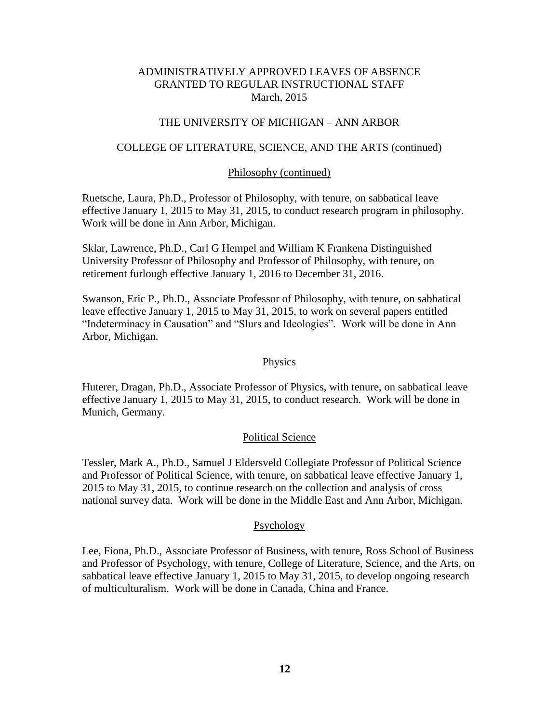## THE UNIVERSITY OF MICHIGAN – ANN ARBOR

## COLLEGE OF LITERATURE, SCIENCE, AND THE ARTS (continued)

#### Philosophy (continued)

Ruetsche, Laura, Ph.D., Professor of Philosophy, with tenure, on sabbatical leave effective January 1, 2015 to May 31, 2015, to conduct research program in philosophy. Work will be done in Ann Arbor, Michigan.

Sklar, Lawrence, Ph.D., Carl G Hempel and William K Frankena Distinguished University Professor of Philosophy and Professor of Philosophy, with tenure, on retirement furlough effective January 1, 2016 to December 31, 2016.

Swanson, Eric P., Ph.D., Associate Professor of Philosophy, with tenure, on sabbatical leave effective January 1, 2015 to May 31, 2015, to work on several papers entitled "Indeterminacy in Causation" and "Slurs and Ideologies". Work will be done in Ann Arbor, Michigan.

# **Physics**

Huterer, Dragan, Ph.D., Associate Professor of Physics, with tenure, on sabbatical leave effective January 1, 2015 to May 31, 2015, to conduct research. Work will be done in Munich, Germany.

## Political Science

Tessler, Mark A., Ph.D., Samuel J Eldersveld Collegiate Professor of Political Science and Professor of Political Science, with tenure, on sabbatical leave effective January 1, 2015 to May 31, 2015, to continue research on the collection and analysis of cross national survey data. Work will be done in the Middle East and Ann Arbor, Michigan.

## Psychology

Lee, Fiona, Ph.D., Associate Professor of Business, with tenure, Ross School of Business and Professor of Psychology, with tenure, College of Literature, Science, and the Arts, on sabbatical leave effective January 1, 2015 to May 31, 2015, to develop ongoing research of multiculturalism. Work will be done in Canada, China and France.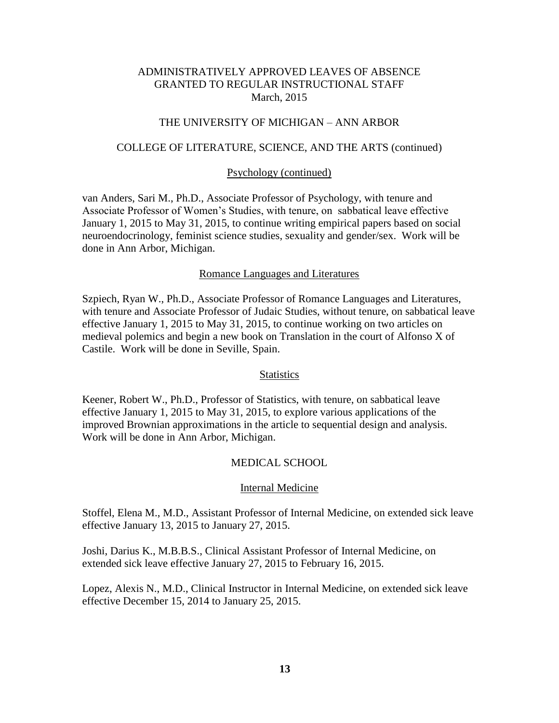## THE UNIVERSITY OF MICHIGAN – ANN ARBOR

## COLLEGE OF LITERATURE, SCIENCE, AND THE ARTS (continued)

#### Psychology (continued)

van Anders, Sari M., Ph.D., Associate Professor of Psychology, with tenure and Associate Professor of Women's Studies, with tenure, on sabbatical leave effective January 1, 2015 to May 31, 2015, to continue writing empirical papers based on social neuroendocrinology, feminist science studies, sexuality and gender/sex. Work will be done in Ann Arbor, Michigan.

#### Romance Languages and Literatures

Szpiech, Ryan W., Ph.D., Associate Professor of Romance Languages and Literatures, with tenure and Associate Professor of Judaic Studies, without tenure, on sabbatical leave effective January 1, 2015 to May 31, 2015, to continue working on two articles on medieval polemics and begin a new book on Translation in the court of Alfonso X of Castile. Work will be done in Seville, Spain.

#### **Statistics**

Keener, Robert W., Ph.D., Professor of Statistics, with tenure, on sabbatical leave effective January 1, 2015 to May 31, 2015, to explore various applications of the improved Brownian approximations in the article to sequential design and analysis. Work will be done in Ann Arbor, Michigan.

## MEDICAL SCHOOL

#### Internal Medicine

Stoffel, Elena M., M.D., Assistant Professor of Internal Medicine, on extended sick leave effective January 13, 2015 to January 27, 2015.

Joshi, Darius K., M.B.B.S., Clinical Assistant Professor of Internal Medicine, on extended sick leave effective January 27, 2015 to February 16, 2015.

Lopez, Alexis N., M.D., Clinical Instructor in Internal Medicine, on extended sick leave effective December 15, 2014 to January 25, 2015.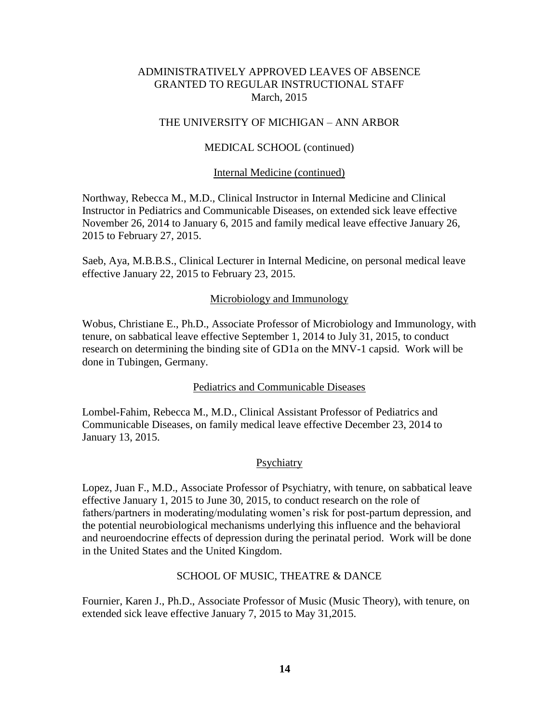## THE UNIVERSITY OF MICHIGAN – ANN ARBOR

## MEDICAL SCHOOL (continued)

#### Internal Medicine (continued)

Northway, Rebecca M., M.D., Clinical Instructor in Internal Medicine and Clinical Instructor in Pediatrics and Communicable Diseases, on extended sick leave effective November 26, 2014 to January 6, 2015 and family medical leave effective January 26, 2015 to February 27, 2015.

Saeb, Aya, M.B.B.S., Clinical Lecturer in Internal Medicine, on personal medical leave effective January 22, 2015 to February 23, 2015.

## Microbiology and Immunology

Wobus, Christiane E., Ph.D., Associate Professor of Microbiology and Immunology, with tenure, on sabbatical leave effective September 1, 2014 to July 31, 2015, to conduct research on determining the binding site of GD1a on the MNV-1 capsid. Work will be done in Tubingen, Germany.

## Pediatrics and Communicable Diseases

Lombel-Fahim, Rebecca M., M.D., Clinical Assistant Professor of Pediatrics and Communicable Diseases, on family medical leave effective December 23, 2014 to January 13, 2015.

#### **Psychiatry**

Lopez, Juan F., M.D., Associate Professor of Psychiatry, with tenure, on sabbatical leave effective January 1, 2015 to June 30, 2015, to conduct research on the role of fathers/partners in moderating/modulating women's risk for post-partum depression, and the potential neurobiological mechanisms underlying this influence and the behavioral and neuroendocrine effects of depression during the perinatal period. Work will be done in the United States and the United Kingdom.

## SCHOOL OF MUSIC, THEATRE & DANCE

Fournier, Karen J., Ph.D., Associate Professor of Music (Music Theory), with tenure, on extended sick leave effective January 7, 2015 to May 31,2015.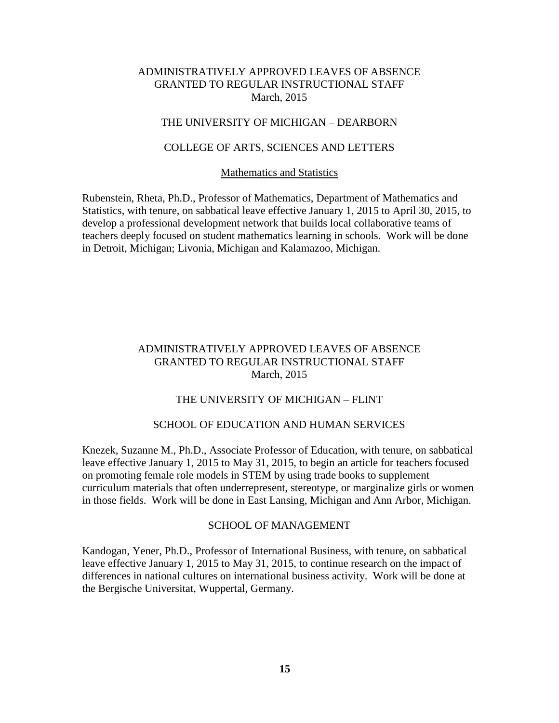# THE UNIVERSITY OF MICHIGAN – DEARBORN

## COLLEGE OF ARTS, SCIENCES AND LETTERS

#### Mathematics and Statistics

Rubenstein, Rheta, Ph.D., Professor of Mathematics, Department of Mathematics and Statistics, with tenure, on sabbatical leave effective January 1, 2015 to April 30, 2015, to develop a professional development network that builds local collaborative teams of teachers deeply focused on student mathematics learning in schools. Work will be done in Detroit, Michigan; Livonia, Michigan and Kalamazoo, Michigan.

# ADMINISTRATIVELY APPROVED LEAVES OF ABSENCE GRANTED TO REGULAR INSTRUCTIONAL STAFF March, 2015

## THE UNIVERSITY OF MICHIGAN – FLINT

#### SCHOOL OF EDUCATION AND HUMAN SERVICES

Knezek, Suzanne M., Ph.D., Associate Professor of Education, with tenure, on sabbatical leave effective January 1, 2015 to May 31, 2015, to begin an article for teachers focused on promoting female role models in STEM by using trade books to supplement curriculum materials that often underrepresent, stereotype, or marginalize girls or women in those fields. Work will be done in East Lansing, Michigan and Ann Arbor, Michigan.

#### SCHOOL OF MANAGEMENT

Kandogan, Yener, Ph.D., Professor of International Business, with tenure, on sabbatical leave effective January 1, 2015 to May 31, 2015, to continue research on the impact of differences in national cultures on international business activity. Work will be done at the Bergische Universitat, Wuppertal, Germany.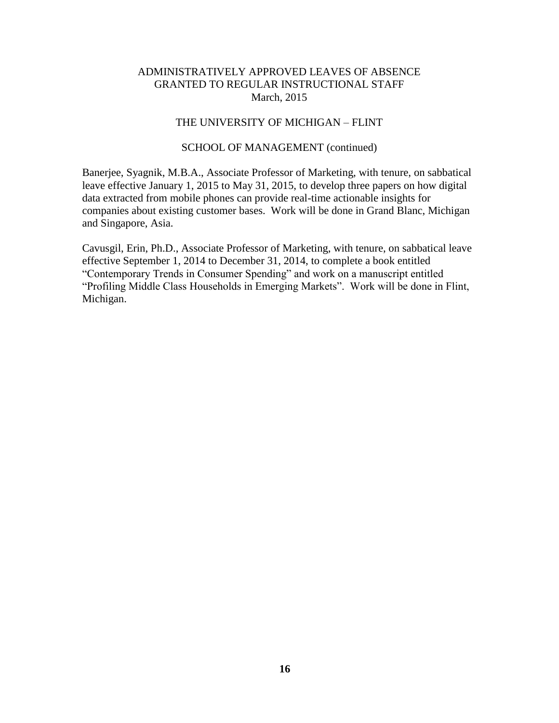# THE UNIVERSITY OF MICHIGAN – FLINT

## SCHOOL OF MANAGEMENT (continued)

Banerjee, Syagnik, M.B.A., Associate Professor of Marketing, with tenure, on sabbatical leave effective January 1, 2015 to May 31, 2015, to develop three papers on how digital data extracted from mobile phones can provide real-time actionable insights for companies about existing customer bases. Work will be done in Grand Blanc, Michigan and Singapore, Asia.

Cavusgil, Erin, Ph.D., Associate Professor of Marketing, with tenure, on sabbatical leave effective September 1, 2014 to December 31, 2014, to complete a book entitled "Contemporary Trends in Consumer Spending" and work on a manuscript entitled "Profiling Middle Class Households in Emerging Markets". Work will be done in Flint, Michigan.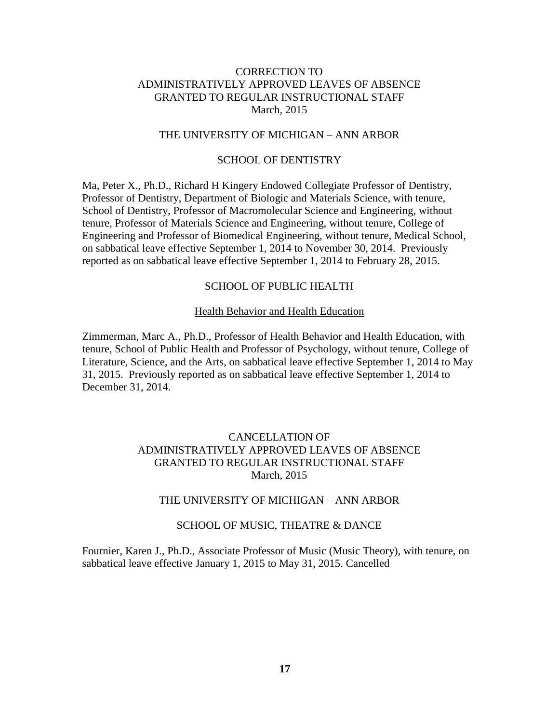## THE UNIVERSITY OF MICHIGAN – ANN ARBOR

## SCHOOL OF DENTISTRY

Ma, Peter X., Ph.D., Richard H Kingery Endowed Collegiate Professor of Dentistry, Professor of Dentistry, Department of Biologic and Materials Science, with tenure, School of Dentistry, Professor of Macromolecular Science and Engineering, without tenure, Professor of Materials Science and Engineering, without tenure, College of Engineering and Professor of Biomedical Engineering, without tenure, Medical School, on sabbatical leave effective September 1, 2014 to November 30, 2014. Previously reported as on sabbatical leave effective September 1, 2014 to February 28, 2015.

# SCHOOL OF PUBLIC HEALTH

#### Health Behavior and Health Education

Zimmerman, Marc A., Ph.D., Professor of Health Behavior and Health Education, with tenure, School of Public Health and Professor of Psychology, without tenure, College of Literature, Science, and the Arts, on sabbatical leave effective September 1, 2014 to May 31, 2015. Previously reported as on sabbatical leave effective September 1, 2014 to December 31, 2014.

# CANCELLATION OF ADMINISTRATIVELY APPROVED LEAVES OF ABSENCE GRANTED TO REGULAR INSTRUCTIONAL STAFF March, 2015

## THE UNIVERSITY OF MICHIGAN – ANN ARBOR

#### SCHOOL OF MUSIC, THEATRE & DANCE

Fournier, Karen J., Ph.D., Associate Professor of Music (Music Theory), with tenure, on sabbatical leave effective January 1, 2015 to May 31, 2015. Cancelled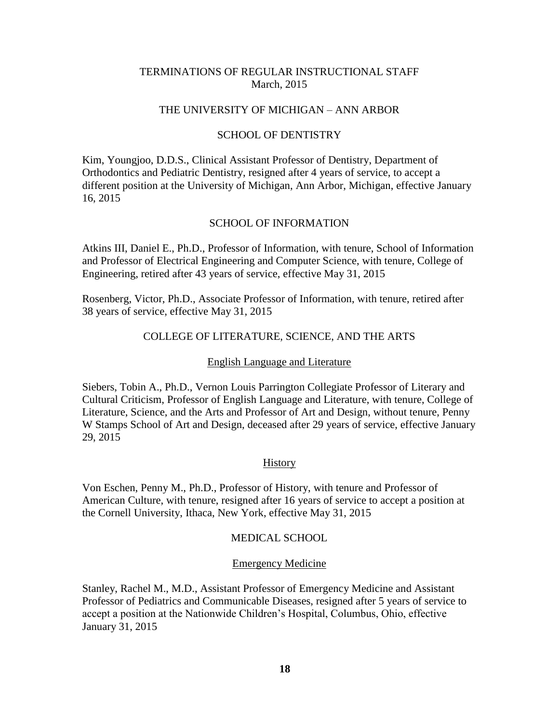# TERMINATIONS OF REGULAR INSTRUCTIONAL STAFF March, 2015

## THE UNIVERSITY OF MICHIGAN – ANN ARBOR

## SCHOOL OF DENTISTRY

Kim, Youngjoo, D.D.S., Clinical Assistant Professor of Dentistry, Department of Orthodontics and Pediatric Dentistry, resigned after 4 years of service, to accept a different position at the University of Michigan, Ann Arbor, Michigan, effective January 16, 2015

## SCHOOL OF INFORMATION

Atkins III, Daniel E., Ph.D., Professor of Information, with tenure, School of Information and Professor of Electrical Engineering and Computer Science, with tenure, College of Engineering, retired after 43 years of service, effective May 31, 2015

Rosenberg, Victor, Ph.D., Associate Professor of Information, with tenure, retired after 38 years of service, effective May 31, 2015

## COLLEGE OF LITERATURE, SCIENCE, AND THE ARTS

#### English Language and Literature

Siebers, Tobin A., Ph.D., Vernon Louis Parrington Collegiate Professor of Literary and Cultural Criticism, Professor of English Language and Literature, with tenure, College of Literature, Science, and the Arts and Professor of Art and Design, without tenure, Penny W Stamps School of Art and Design, deceased after 29 years of service, effective January 29, 2015

#### **History**

Von Eschen, Penny M., Ph.D., Professor of History, with tenure and Professor of American Culture, with tenure, resigned after 16 years of service to accept a position at the Cornell University, Ithaca, New York, effective May 31, 2015

#### MEDICAL SCHOOL

#### Emergency Medicine

Stanley, Rachel M., M.D., Assistant Professor of Emergency Medicine and Assistant Professor of Pediatrics and Communicable Diseases, resigned after 5 years of service to accept a position at the Nationwide Children's Hospital, Columbus, Ohio, effective January 31, 2015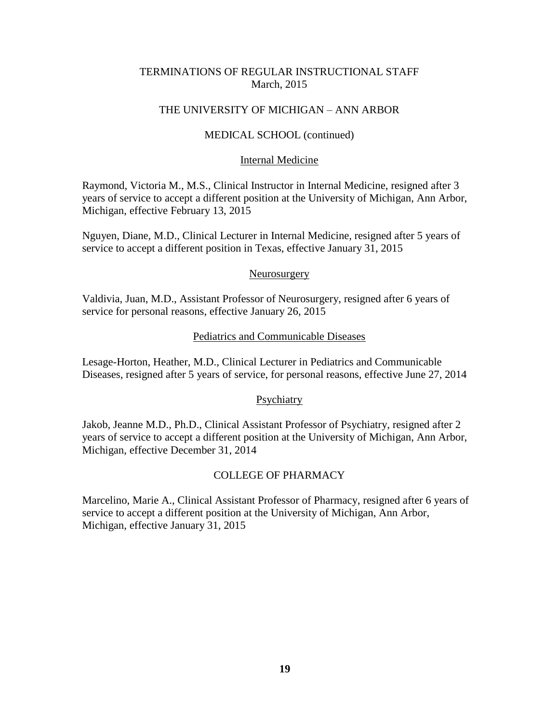# TERMINATIONS OF REGULAR INSTRUCTIONAL STAFF March, 2015

## THE UNIVERSITY OF MICHIGAN – ANN ARBOR

## MEDICAL SCHOOL (continued)

## Internal Medicine

Raymond, Victoria M., M.S., Clinical Instructor in Internal Medicine, resigned after 3 years of service to accept a different position at the University of Michigan, Ann Arbor, Michigan, effective February 13, 2015

Nguyen, Diane, M.D., Clinical Lecturer in Internal Medicine, resigned after 5 years of service to accept a different position in Texas, effective January 31, 2015

#### Neurosurgery

Valdivia, Juan, M.D., Assistant Professor of Neurosurgery, resigned after 6 years of service for personal reasons, effective January 26, 2015

#### Pediatrics and Communicable Diseases

Lesage-Horton, Heather, M.D., Clinical Lecturer in Pediatrics and Communicable Diseases, resigned after 5 years of service, for personal reasons, effective June 27, 2014

## **Psychiatry**

Jakob, Jeanne M.D., Ph.D., Clinical Assistant Professor of Psychiatry, resigned after 2 years of service to accept a different position at the University of Michigan, Ann Arbor, Michigan, effective December 31, 2014

## COLLEGE OF PHARMACY

Marcelino, Marie A., Clinical Assistant Professor of Pharmacy, resigned after 6 years of service to accept a different position at the University of Michigan, Ann Arbor, Michigan, effective January 31, 2015